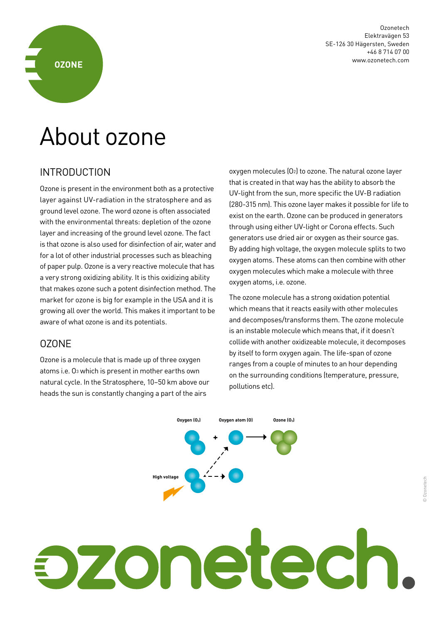

Ozonetech Elektravägen 53 SE-126 30 Hägersten, Sweden +46 8 714 07 00 www.ozonetech.com

# About ozone

#### INTRODUCTION

Ozone is present in the environment both as a protective layer against UV-radiation in the stratosphere and as ground level ozone. The word ozone is often associated with the environmental threats: depletion of the ozone layer and increasing of the ground level ozone. The fact is that ozone is also used for disinfection of air, water and for a lot of other industrial processes such as bleaching of paper pulp. Ozone is a very reactive molecule that has a very strong oxidizing ability. It is this oxidizing ability that makes ozone such a potent disinfection method. The market for ozone is big for example in the USA and it is growing all over the world. This makes it important to be aware of what ozone is and its potentials.

#### OZONE

Ozone is a molecule that is made up of three oxygen atoms i.e. O3 which is present in mother earths own natural cycle. In the Stratosphere, 10–50 km above our heads the sun is constantly changing a part of the airs

oxygen molecules (O2) to ozone. The natural ozone layer that is created in that way has the ability to absorb the UV-light from the sun, more specific the UV-B radiation (280-315 nm). This ozone layer makes it possible for life to exist on the earth. Ozone can be produced in generators through using either UV-light or Corona effects. Such generators use dried air or oxygen as their source gas. By adding high voltage, the oxygen molecule splits to two oxygen atoms. These atoms can then combine with other oxygen molecules which make a molecule with three oxygen atoms, i.e. ozone.

The ozone molecule has a strong oxidation potential which means that it reacts easily with other molecules and decomposes/transforms them. The ozone molecule is an instable molecule which means that, if it doesn't collide with another oxidizeable molecule, it decomposes by itself to form oxygen again. The life-span of ozone ranges from a couple of minutes to an hour depending on the surrounding conditions (temperature, pressure, pollutions etc).



# zoneted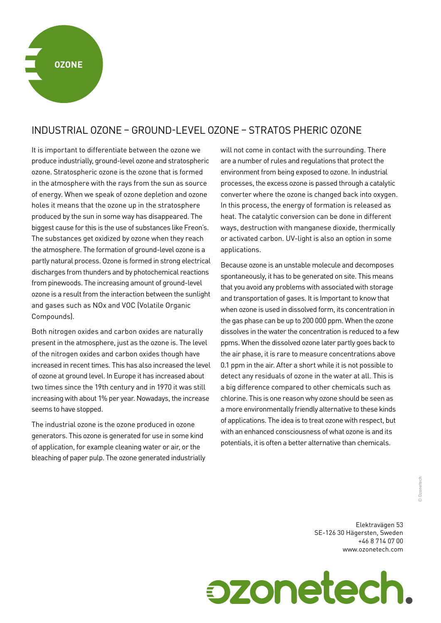# INDUSTRIAL OZONE – GROUND-LEVEL OZONE – STRATOS PHERIC OZONE

It is important to differentiate between the ozone we produce industrially, ground-level ozone and stratospheric ozone. Stratospheric ozone is the ozone that is formed in the atmosphere with the rays from the sun as source of energy. When we speak of ozone depletion and ozone holes it means that the ozone up in the stratosphere produced by the sun in some way has disappeared. The biggest cause for this is the use of substances like Freon's. The substances get oxidized by ozone when they reach the atmosphere. The formation of ground-level ozone is a partly natural process. Ozone is formed in strong electrical discharges from thunders and by photochemical reactions from pinewoods. The increasing amount of ground-level ozone is a result from the interaction between the sunlight and gases such as NOx and VOC (Volatile Organic Compounds).

Both nitrogen oxides and carbon oxides are naturally present in the atmosphere, just as the ozone is. The level of the nitrogen oxides and carbon oxides though have increased in recent times. This has also increased the level of ozone at ground level. In Europe it has increased about two times since the 19th century and in 1970 it was still increasing with about 1% per year. Nowadays, the increase seems to have stopped.

The industrial ozone is the ozone produced in ozone generators. This ozone is generated for use in some kind of application, for example cleaning water or air, or the bleaching of paper pulp. The ozone generated industrially will not come in contact with the surrounding. There are a number of rules and regulations that protect the environment from being exposed to ozone. In industrial processes, the excess ozone is passed through a catalytic converter where the ozone is changed back into oxygen. In this process, the energy of formation is released as heat. The catalytic conversion can be done in different ways, destruction with manganese dioxide, thermically or activated carbon. UV-light is also an option in some applications.

Because ozone is an unstable molecule and decomposes spontaneously, it has to be generated on site. This means that you avoid any problems with associated with storage and transportation of gases. It is Important to know that when ozone is used in dissolved form, its concentration in the gas phase can be up to 200 000 ppm. When the ozone dissolves in the water the concentration is reduced to a few ppms. When the dissolved ozone later partly goes back to the air phase, it is rare to measure concentrations above 0.1 ppm in the air. After a short while it is not possible to detect any residuals of ozone in the water at all. This is a big difference compared to other chemicals such as chlorine. This is one reason why ozone should be seen as a more environmentally friendly alternative to these kinds of applications. The idea is to treat ozone with respect, but with an enhanced consciousness of what ozone is and its potentials, it is often a better alternative than chemicals.

> Elektravägen 53 SE-126 30 Hägersten, Sweden +46 8 714 07 00 www.ozonetech.com

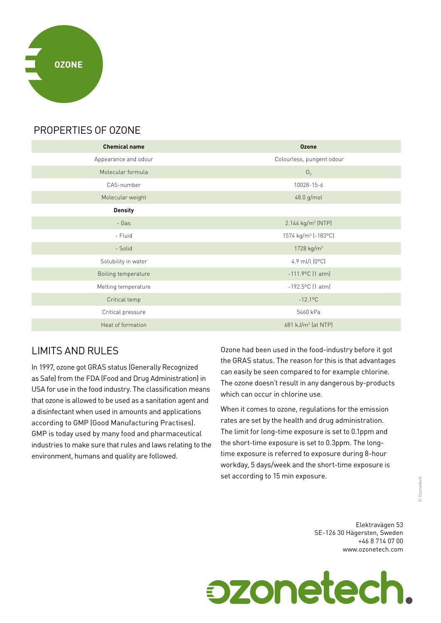

## PROPERTIES OF OZONE

| <b>Chemical name</b> | <b>Ozone</b>                    |
|----------------------|---------------------------------|
| Appearance and odour | Colourless, pungent odour       |
| Molecular formula    | O <sub>3</sub>                  |
| CAS-number           | 10028-15-6                      |
| Molecular weight     | 48.0 g/mol                      |
| <b>Density</b>       |                                 |
| - Gas                | 2.144 kg/m <sup>3</sup> (NTP)   |
| - Fluid              | 1574 kg/m <sup>3</sup> (-183°C) |
| - Solid              | 1728 kg/m <sup>3</sup>          |
| Solubility in water  | 4.9 ml/l $[0^{\circ}C]$         |
| Boiling temperature  | $-111.9$ °C $(1$ atm)           |
| Melting temperature  | $-192.5^{\circ}$ C (1 atm)      |
| Critical temp        | $-12.1$ <sup>o</sup> C          |
| Critical pressure    | 5460 kPa                        |
| Heat of formation    | 681 kJ/m <sup>3</sup> (at NTP)  |

# LIMITS AND RULES

In 1997, ozone got GRAS status (Generally Recognized as Safe) from the FDA (Food and Drug Administration) in USA for use in the food industry. The classification means that ozone is allowed to be used as a sanitation agent and a disinfectant when used in amounts and applications according to GMP (Good Manufacturing Practises). GMP is today used by many food and pharmaceutical industries to make sure that rules and laws relating to the environment, humans and quality are followed.

Ozone had been used in the food-industry before it got the GRAS status. The reason for this is that advantages can easily be seen compared to for example chlorine. The ozone doesn't result in any dangerous by-products which can occur in chlorine use.

When it comes to ozone, regulations for the emission rates are set by the health and drug administration. The limit for long-time exposure is set to 0.1ppm and the short-time exposure is set to 0.3ppm. The longtime exposure is referred to exposure during 8-hour workday, 5 days/week and the short-time exposure is set according to 15 min exposure.

> Elektravägen 53 SE-126 30 Hägersten, Sweden +46 8 714 07 00 www.ozonetech.com